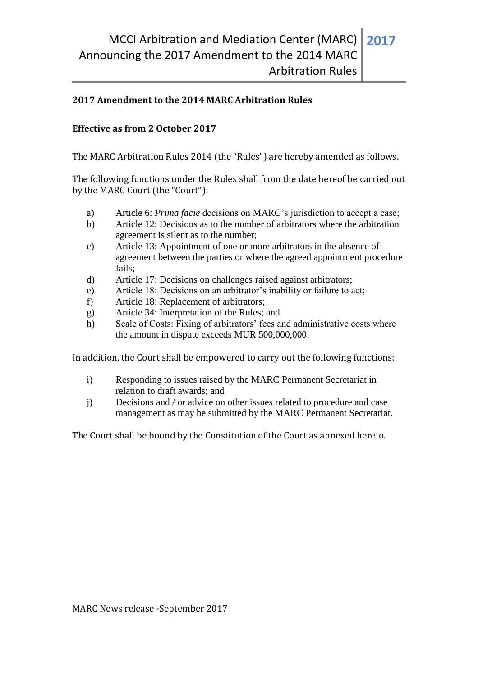## **2017 Amendment to the 2014 MARC Arbitration Rules**

## **Effective as from 2 October 2017**

The MARC Arbitration Rules 2014 (the "Rules") are hereby amended as follows.

The following functions under the Rules shall from the date hereof be carried out by the MARC Court (the "Court"):

- a) Article 6: *Prima facie* decisions on MARC's jurisdiction to accept a case;
- b) Article 12: Decisions as to the number of arbitrators where the arbitration agreement is silent as to the number;
- c) Article 13: Appointment of one or more arbitrators in the absence of agreement between the parties or where the agreed appointment procedure fails;
- d) Article 17: Decisions on challenges raised against arbitrators;
- e) Article 18: Decisions on an arbitrator's inability or failure to act;
- f) Article 18: Replacement of arbitrators;
- g) Article 34: Interpretation of the Rules; and
- h) Scale of Costs: Fixing of arbitrators' fees and administrative costs where the amount in dispute exceeds MUR 500,000,000.

In addition, the Court shall be empowered to carry out the following functions:

- i) Responding to issues raised by the MARC Permanent Secretariat in relation to draft awards; and
- j) Decisions and / or advice on other issues related to procedure and case management as may be submitted by the MARC Permanent Secretariat.

The Court shall be bound by the Constitution of the Court as annexed hereto.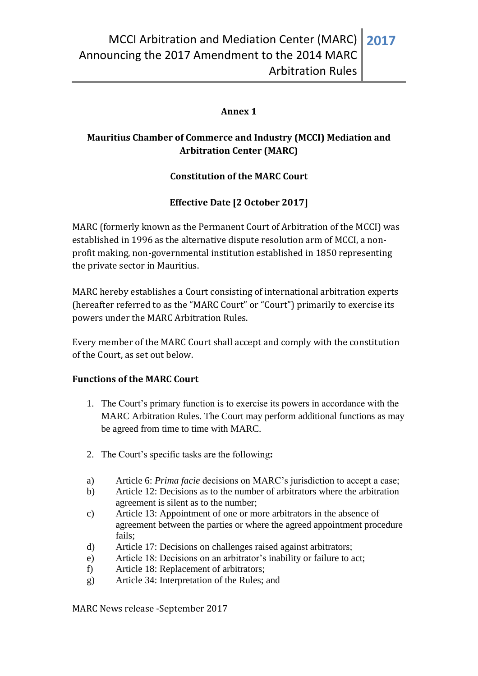# **Annex 1**

# **Mauritius Chamber of Commerce and Industry (MCCI) Mediation and Arbitration Center (MARC)**

# **Constitution of the MARC Court**

# **Effective Date [2 October 2017]**

MARC (formerly known as the Permanent Court of Arbitration of the MCCI) was established in 1996 as the alternative dispute resolution arm of MCCI, a nonprofit making, non-governmental institution established in 1850 representing the private sector in Mauritius.

MARC hereby establishes a Court consisting of international arbitration experts (hereafter referred to as the "MARC Court" or "Court") primarily to exercise its powers under the MARC Arbitration Rules.

Every member of the MARC Court shall accept and comply with the constitution of the Court, as set out below.

#### **Functions of the MARC Court**

- 1. The Court's primary function is to exercise its powers in accordance with the MARC Arbitration Rules. The Court may perform additional functions as may be agreed from time to time with MARC.
- 2. The Court's specific tasks are the following**:**
- a) Article 6: *Prima facie* decisions on MARC's jurisdiction to accept a case;
- b) Article 12: Decisions as to the number of arbitrators where the arbitration agreement is silent as to the number;
- c) Article 13: Appointment of one or more arbitrators in the absence of agreement between the parties or where the agreed appointment procedure fails;
- d) Article 17: Decisions on challenges raised against arbitrators;
- e) Article 18: Decisions on an arbitrator's inability or failure to act;
- f) Article 18: Replacement of arbitrators;
- g) Article 34: Interpretation of the Rules; and

MARC News release -September 2017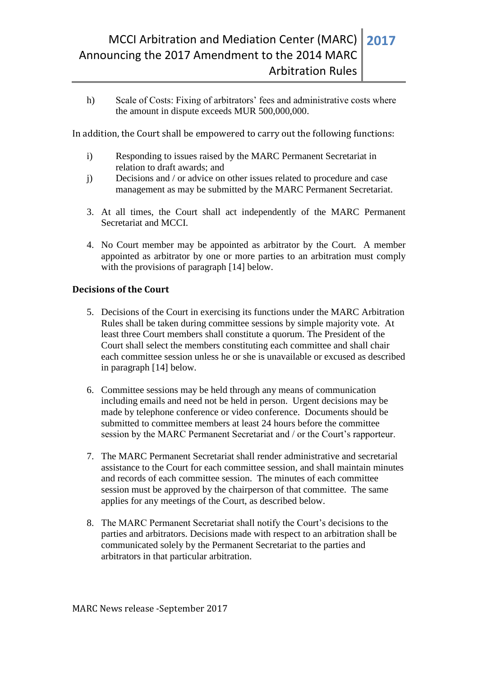h) Scale of Costs: Fixing of arbitrators' fees and administrative costs where the amount in dispute exceeds MUR 500,000,000.

In addition, the Court shall be empowered to carry out the following functions:

- i) Responding to issues raised by the MARC Permanent Secretariat in relation to draft awards; and
- j) Decisions and / or advice on other issues related to procedure and case management as may be submitted by the MARC Permanent Secretariat.
- 3. At all times, the Court shall act independently of the MARC Permanent Secretariat and MCCI.
- 4. No Court member may be appointed as arbitrator by the Court. A member appointed as arbitrator by one or more parties to an arbitration must comply with the provisions of paragraph [14] below.

### **Decisions of the Court**

- 5. Decisions of the Court in exercising its functions under the MARC Arbitration Rules shall be taken during committee sessions by simple majority vote. At least three Court members shall constitute a quorum. The President of the Court shall select the members constituting each committee and shall chair each committee session unless he or she is unavailable or excused as described in paragraph [14] below.
- 6. Committee sessions may be held through any means of communication including emails and need not be held in person. Urgent decisions may be made by telephone conference or video conference. Documents should be submitted to committee members at least 24 hours before the committee session by the MARC Permanent Secretariat and / or the Court's rapporteur.
- 7. The MARC Permanent Secretariat shall render administrative and secretarial assistance to the Court for each committee session, and shall maintain minutes and records of each committee session. The minutes of each committee session must be approved by the chairperson of that committee. The same applies for any meetings of the Court, as described below.
- 8. The MARC Permanent Secretariat shall notify the Court's decisions to the parties and arbitrators. Decisions made with respect to an arbitration shall be communicated solely by the Permanent Secretariat to the parties and arbitrators in that particular arbitration.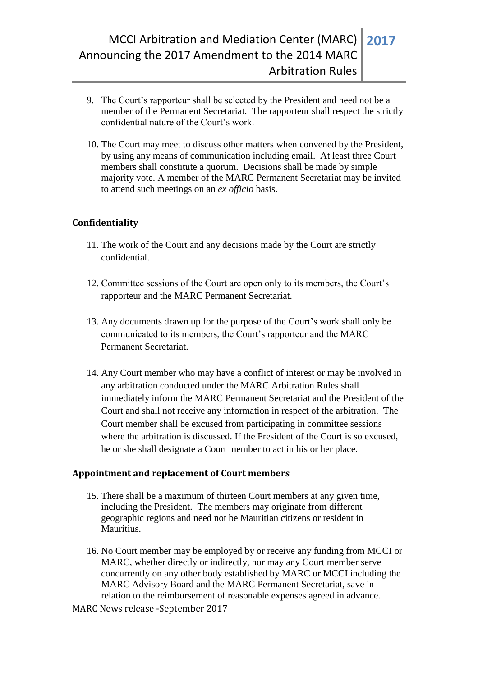- 9. The Court's rapporteur shall be selected by the President and need not be a member of the Permanent Secretariat. The rapporteur shall respect the strictly confidential nature of the Court's work.
- 10. The Court may meet to discuss other matters when convened by the President, by using any means of communication including email. At least three Court members shall constitute a quorum. Decisions shall be made by simple majority vote. A member of the MARC Permanent Secretariat may be invited to attend such meetings on an *ex officio* basis.

### **Confidentiality**

- 11. The work of the Court and any decisions made by the Court are strictly confidential.
- 12. Committee sessions of the Court are open only to its members, the Court's rapporteur and the MARC Permanent Secretariat.
- 13. Any documents drawn up for the purpose of the Court's work shall only be communicated to its members, the Court's rapporteur and the MARC Permanent Secretariat.
- 14. Any Court member who may have a conflict of interest or may be involved in any arbitration conducted under the MARC Arbitration Rules shall immediately inform the MARC Permanent Secretariat and the President of the Court and shall not receive any information in respect of the arbitration. The Court member shall be excused from participating in committee sessions where the arbitration is discussed. If the President of the Court is so excused. he or she shall designate a Court member to act in his or her place.

#### **Appointment and replacement of Court members**

- 15. There shall be a maximum of thirteen Court members at any given time, including the President. The members may originate from different geographic regions and need not be Mauritian citizens or resident in Mauritius.
- 16. No Court member may be employed by or receive any funding from MCCI or MARC, whether directly or indirectly, nor may any Court member serve concurrently on any other body established by MARC or MCCI including the MARC Advisory Board and the MARC Permanent Secretariat, save in relation to the reimbursement of reasonable expenses agreed in advance.
- MARC News release -September 2017